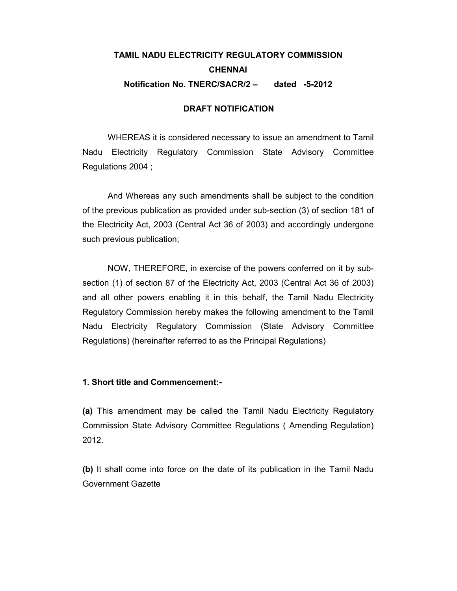## TAMIL NADU ELECTRICITY REGULATORY COMMISSION **CHENNAI** Notification No. TNERC/SACR/2 – dated -5-2012

## DRAFT NOTIFICATION

WHEREAS it is considered necessary to issue an amendment to Tamil Nadu Electricity Regulatory Commission State Advisory Committee Regulations 2004 ;

And Whereas any such amendments shall be subject to the condition of the previous publication as provided under sub-section (3) of section 181 of the Electricity Act, 2003 (Central Act 36 of 2003) and accordingly undergone such previous publication;

NOW, THEREFORE, in exercise of the powers conferred on it by subsection (1) of section 87 of the Electricity Act, 2003 (Central Act 36 of 2003) and all other powers enabling it in this behalf, the Tamil Nadu Electricity Regulatory Commission hereby makes the following amendment to the Tamil Nadu Electricity Regulatory Commission (State Advisory Committee Regulations) (hereinafter referred to as the Principal Regulations)

## 1. Short title and Commencement:-

(a) This amendment may be called the Tamil Nadu Electricity Regulatory Commission State Advisory Committee Regulations ( Amending Regulation) 2012.

(b) It shall come into force on the date of its publication in the Tamil Nadu Government Gazette